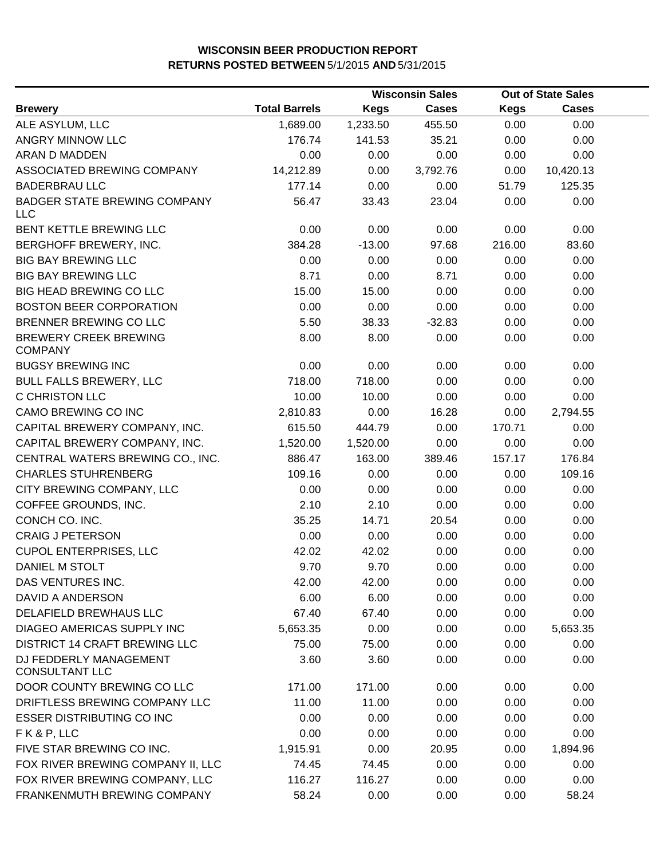|                                                   | <b>Wisconsin Sales</b> |             |              | <b>Out of State Sales</b> |              |  |
|---------------------------------------------------|------------------------|-------------|--------------|---------------------------|--------------|--|
| <b>Brewery</b>                                    | <b>Total Barrels</b>   | <b>Kegs</b> | <b>Cases</b> | <b>Kegs</b>               | <b>Cases</b> |  |
| ALE ASYLUM, LLC                                   | 1,689.00               | 1,233.50    | 455.50       | 0.00                      | 0.00         |  |
| ANGRY MINNOW LLC                                  | 176.74                 | 141.53      | 35.21        | 0.00                      | 0.00         |  |
| ARAN D MADDEN                                     | 0.00                   | 0.00        | 0.00         | 0.00                      | 0.00         |  |
| ASSOCIATED BREWING COMPANY                        | 14,212.89              | 0.00        | 3,792.76     | 0.00                      | 10,420.13    |  |
| <b>BADERBRAU LLC</b>                              | 177.14                 | 0.00        | 0.00         | 51.79                     | 125.35       |  |
| <b>BADGER STATE BREWING COMPANY</b><br><b>LLC</b> | 56.47                  | 33.43       | 23.04        | 0.00                      | 0.00         |  |
| BENT KETTLE BREWING LLC                           | 0.00                   | 0.00        | 0.00         | 0.00                      | 0.00         |  |
| BERGHOFF BREWERY, INC.                            | 384.28                 | $-13.00$    | 97.68        | 216.00                    | 83.60        |  |
| <b>BIG BAY BREWING LLC</b>                        | 0.00                   | 0.00        | 0.00         | 0.00                      | 0.00         |  |
| <b>BIG BAY BREWING LLC</b>                        | 8.71                   | 0.00        | 8.71         | 0.00                      | 0.00         |  |
| <b>BIG HEAD BREWING CO LLC</b>                    | 15.00                  | 15.00       | 0.00         | 0.00                      | 0.00         |  |
| <b>BOSTON BEER CORPORATION</b>                    | 0.00                   | 0.00        | 0.00         | 0.00                      | 0.00         |  |
| BRENNER BREWING CO LLC                            | 5.50                   | 38.33       | $-32.83$     | 0.00                      | 0.00         |  |
| <b>BREWERY CREEK BREWING</b><br><b>COMPANY</b>    | 8.00                   | 8.00        | 0.00         | 0.00                      | 0.00         |  |
| <b>BUGSY BREWING INC</b>                          | 0.00                   | 0.00        | 0.00         | 0.00                      | 0.00         |  |
| <b>BULL FALLS BREWERY, LLC</b>                    | 718.00                 | 718.00      | 0.00         | 0.00                      | 0.00         |  |
| C CHRISTON LLC                                    | 10.00                  | 10.00       | 0.00         | 0.00                      | 0.00         |  |
| CAMO BREWING CO INC                               | 2,810.83               | 0.00        | 16.28        | 0.00                      | 2,794.55     |  |
| CAPITAL BREWERY COMPANY, INC.                     | 615.50                 | 444.79      | 0.00         | 170.71                    | 0.00         |  |
| CAPITAL BREWERY COMPANY, INC.                     | 1,520.00               | 1,520.00    | 0.00         | 0.00                      | 0.00         |  |
| CENTRAL WATERS BREWING CO., INC.                  | 886.47                 | 163.00      | 389.46       | 157.17                    | 176.84       |  |
| <b>CHARLES STUHRENBERG</b>                        | 109.16                 | 0.00        | 0.00         | 0.00                      | 109.16       |  |
| CITY BREWING COMPANY, LLC                         | 0.00                   | 0.00        | 0.00         | 0.00                      | 0.00         |  |
| COFFEE GROUNDS, INC.                              | 2.10                   | 2.10        | 0.00         | 0.00                      | 0.00         |  |
| CONCH CO. INC.                                    | 35.25                  | 14.71       | 20.54        | 0.00                      | 0.00         |  |
| <b>CRAIG J PETERSON</b>                           | 0.00                   | 0.00        | 0.00         | 0.00                      | 0.00         |  |
| <b>CUPOL ENTERPRISES, LLC</b>                     | 42.02                  | 42.02       | 0.00         | 0.00                      | 0.00         |  |
| DANIEL M STOLT                                    | 9.70                   | 9.70        | 0.00         | 0.00                      | 0.00         |  |
| DAS VENTURES INC.                                 | 42.00                  | 42.00       | 0.00         | 0.00                      | 0.00         |  |
| DAVID A ANDERSON                                  | 6.00                   | 6.00        | 0.00         | 0.00                      | 0.00         |  |
| DELAFIELD BREWHAUS LLC                            | 67.40                  | 67.40       | 0.00         | 0.00                      | 0.00         |  |
| DIAGEO AMERICAS SUPPLY INC                        | 5,653.35               | 0.00        | 0.00         | 0.00                      | 5,653.35     |  |
| <b>DISTRICT 14 CRAFT BREWING LLC</b>              | 75.00                  | 75.00       | 0.00         | 0.00                      | 0.00         |  |
| DJ FEDDERLY MANAGEMENT<br><b>CONSULTANT LLC</b>   | 3.60                   | 3.60        | 0.00         | 0.00                      | 0.00         |  |
| DOOR COUNTY BREWING CO LLC                        | 171.00                 | 171.00      | 0.00         | 0.00                      | 0.00         |  |
| DRIFTLESS BREWING COMPANY LLC                     | 11.00                  | 11.00       | 0.00         | 0.00                      | 0.00         |  |
| <b>ESSER DISTRIBUTING CO INC</b>                  | 0.00                   | 0.00        | 0.00         | 0.00                      | 0.00         |  |
| FK&P, LLC                                         | 0.00                   | 0.00        | 0.00         | 0.00                      | 0.00         |  |
| FIVE STAR BREWING CO INC.                         | 1,915.91               | 0.00        | 20.95        | 0.00                      | 1,894.96     |  |
| FOX RIVER BREWING COMPANY II, LLC                 | 74.45                  | 74.45       | 0.00         | 0.00                      | 0.00         |  |
| FOX RIVER BREWING COMPANY, LLC                    | 116.27                 | 116.27      | 0.00         | 0.00                      | 0.00         |  |
| FRANKENMUTH BREWING COMPANY                       | 58.24                  | 0.00        | 0.00         | 0.00                      | 58.24        |  |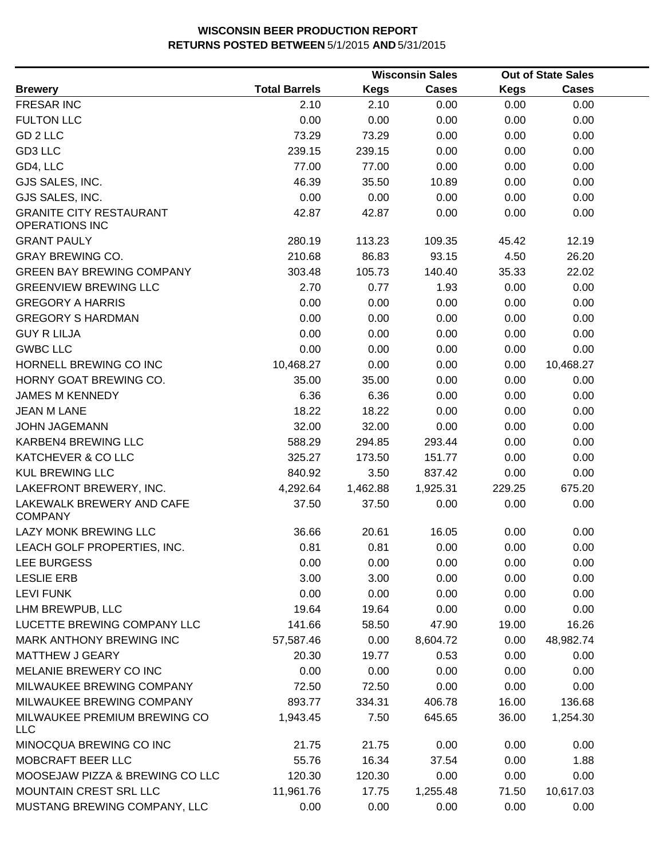|                                                         |                      |             | <b>Wisconsin Sales</b> |             | <b>Out of State Sales</b> |  |
|---------------------------------------------------------|----------------------|-------------|------------------------|-------------|---------------------------|--|
| <b>Brewery</b>                                          | <b>Total Barrels</b> | <b>Kegs</b> | <b>Cases</b>           | <b>Kegs</b> | <b>Cases</b>              |  |
| <b>FRESAR INC</b>                                       | 2.10                 | 2.10        | 0.00                   | 0.00        | 0.00                      |  |
| <b>FULTON LLC</b>                                       | 0.00                 | 0.00        | 0.00                   | 0.00        | 0.00                      |  |
| GD 2 LLC                                                | 73.29                | 73.29       | 0.00                   | 0.00        | 0.00                      |  |
| GD3 LLC                                                 | 239.15               | 239.15      | 0.00                   | 0.00        | 0.00                      |  |
| GD4, LLC                                                | 77.00                | 77.00       | 0.00                   | 0.00        | 0.00                      |  |
| GJS SALES, INC.                                         | 46.39                | 35.50       | 10.89                  | 0.00        | 0.00                      |  |
| GJS SALES, INC.                                         | 0.00                 | 0.00        | 0.00                   | 0.00        | 0.00                      |  |
| <b>GRANITE CITY RESTAURANT</b><br><b>OPERATIONS INC</b> | 42.87                | 42.87       | 0.00                   | 0.00        | 0.00                      |  |
| <b>GRANT PAULY</b>                                      | 280.19               | 113.23      | 109.35                 | 45.42       | 12.19                     |  |
| <b>GRAY BREWING CO.</b>                                 | 210.68               | 86.83       | 93.15                  | 4.50        | 26.20                     |  |
| <b>GREEN BAY BREWING COMPANY</b>                        | 303.48               | 105.73      | 140.40                 | 35.33       | 22.02                     |  |
| <b>GREENVIEW BREWING LLC</b>                            | 2.70                 | 0.77        | 1.93                   | 0.00        | 0.00                      |  |
| <b>GREGORY A HARRIS</b>                                 | 0.00                 | 0.00        | 0.00                   | 0.00        | 0.00                      |  |
| <b>GREGORY S HARDMAN</b>                                | 0.00                 | 0.00        | 0.00                   | 0.00        | 0.00                      |  |
| <b>GUY R LILJA</b>                                      | 0.00                 | 0.00        | 0.00                   | 0.00        | 0.00                      |  |
| <b>GWBC LLC</b>                                         | 0.00                 | 0.00        | 0.00                   | 0.00        | 0.00                      |  |
| HORNELL BREWING CO INC                                  | 10,468.27            | 0.00        | 0.00                   | 0.00        | 10,468.27                 |  |
| HORNY GOAT BREWING CO.                                  | 35.00                | 35.00       | 0.00                   | 0.00        | 0.00                      |  |
| <b>JAMES M KENNEDY</b>                                  | 6.36                 | 6.36        | 0.00                   | 0.00        | 0.00                      |  |
| <b>JEAN M LANE</b>                                      | 18.22                | 18.22       | 0.00                   | 0.00        | 0.00                      |  |
| <b>JOHN JAGEMANN</b>                                    | 32.00                | 32.00       | 0.00                   | 0.00        | 0.00                      |  |
| KARBEN4 BREWING LLC                                     | 588.29               | 294.85      | 293.44                 | 0.00        | 0.00                      |  |
| KATCHEVER & CO LLC                                      | 325.27               | 173.50      | 151.77                 | 0.00        | 0.00                      |  |
| <b>KUL BREWING LLC</b>                                  | 840.92               | 3.50        | 837.42                 | 0.00        | 0.00                      |  |
| LAKEFRONT BREWERY, INC.                                 | 4,292.64             | 1,462.88    | 1,925.31               | 229.25      | 675.20                    |  |
| LAKEWALK BREWERY AND CAFE<br><b>COMPANY</b>             | 37.50                | 37.50       | 0.00                   | 0.00        | 0.00                      |  |
| LAZY MONK BREWING LLC                                   | 36.66                | 20.61       | 16.05                  | 0.00        | 0.00                      |  |
| LEACH GOLF PROPERTIES, INC.                             | 0.81                 | 0.81        | 0.00                   | 0.00        | 0.00                      |  |
| LEE BURGESS                                             | 0.00                 | 0.00        | 0.00                   | 0.00        | 0.00                      |  |
| <b>LESLIE ERB</b>                                       | 3.00                 | 3.00        | 0.00                   | 0.00        | 0.00                      |  |
| <b>LEVI FUNK</b>                                        | 0.00                 | 0.00        | 0.00                   | 0.00        | 0.00                      |  |
| LHM BREWPUB, LLC                                        | 19.64                | 19.64       | 0.00                   | 0.00        | 0.00                      |  |
| LUCETTE BREWING COMPANY LLC                             | 141.66               | 58.50       | 47.90                  | 19.00       | 16.26                     |  |
| MARK ANTHONY BREWING INC                                | 57,587.46            | 0.00        | 8,604.72               | 0.00        | 48,982.74                 |  |
| <b>MATTHEW J GEARY</b>                                  | 20.30                | 19.77       | 0.53                   | 0.00        | 0.00                      |  |
| MELANIE BREWERY CO INC                                  | 0.00                 | 0.00        | 0.00                   | 0.00        | 0.00                      |  |
| MILWAUKEE BREWING COMPANY                               | 72.50                | 72.50       | 0.00                   | 0.00        | 0.00                      |  |
| MILWAUKEE BREWING COMPANY                               | 893.77               | 334.31      | 406.78                 | 16.00       | 136.68                    |  |
| MILWAUKEE PREMIUM BREWING CO<br><b>LLC</b>              | 1,943.45             | 7.50        | 645.65                 | 36.00       | 1,254.30                  |  |
| MINOCQUA BREWING CO INC                                 | 21.75                | 21.75       | 0.00                   | 0.00        | 0.00                      |  |
| MOBCRAFT BEER LLC                                       | 55.76                | 16.34       | 37.54                  | 0.00        | 1.88                      |  |
| MOOSEJAW PIZZA & BREWING CO LLC                         | 120.30               | 120.30      | 0.00                   | 0.00        | 0.00                      |  |
| MOUNTAIN CREST SRL LLC                                  | 11,961.76            | 17.75       | 1,255.48               | 71.50       | 10,617.03                 |  |
| MUSTANG BREWING COMPANY, LLC                            | 0.00                 | 0.00        | 0.00                   | 0.00        | 0.00                      |  |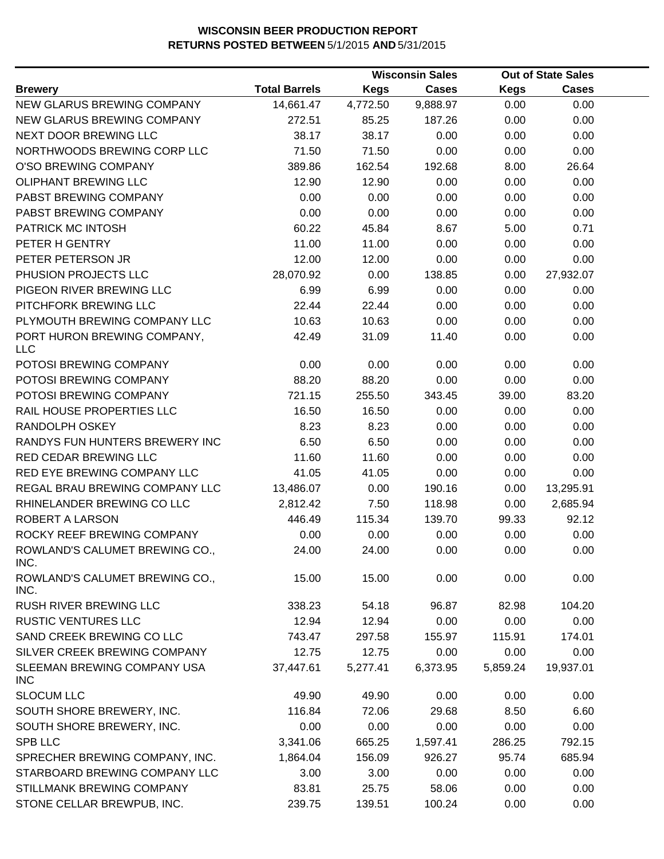|                                           |                      |             | <b>Wisconsin Sales</b> |             | <b>Out of State Sales</b> |  |
|-------------------------------------------|----------------------|-------------|------------------------|-------------|---------------------------|--|
| <b>Brewery</b>                            | <b>Total Barrels</b> | <b>Kegs</b> | <b>Cases</b>           | <b>Kegs</b> | <b>Cases</b>              |  |
| NEW GLARUS BREWING COMPANY                | 14,661.47            | 4,772.50    | 9,888.97               | 0.00        | 0.00                      |  |
| NEW GLARUS BREWING COMPANY                | 272.51               | 85.25       | 187.26                 | 0.00        | 0.00                      |  |
| NEXT DOOR BREWING LLC                     | 38.17                | 38.17       | 0.00                   | 0.00        | 0.00                      |  |
| NORTHWOODS BREWING CORP LLC               | 71.50                | 71.50       | 0.00                   | 0.00        | 0.00                      |  |
| O'SO BREWING COMPANY                      | 389.86               | 162.54      | 192.68                 | 8.00        | 26.64                     |  |
| OLIPHANT BREWING LLC                      | 12.90                | 12.90       | 0.00                   | 0.00        | 0.00                      |  |
| PABST BREWING COMPANY                     | 0.00                 | 0.00        | 0.00                   | 0.00        | 0.00                      |  |
| PABST BREWING COMPANY                     | 0.00                 | 0.00        | 0.00                   | 0.00        | 0.00                      |  |
| PATRICK MC INTOSH                         | 60.22                | 45.84       | 8.67                   | 5.00        | 0.71                      |  |
| PETER H GENTRY                            | 11.00                | 11.00       | 0.00                   | 0.00        | 0.00                      |  |
| PETER PETERSON JR                         | 12.00                | 12.00       | 0.00                   | 0.00        | 0.00                      |  |
| PHUSION PROJECTS LLC                      | 28,070.92            | 0.00        | 138.85                 | 0.00        | 27,932.07                 |  |
| PIGEON RIVER BREWING LLC                  | 6.99                 | 6.99        | 0.00                   | 0.00        | 0.00                      |  |
| PITCHFORK BREWING LLC                     | 22.44                | 22.44       | 0.00                   | 0.00        | 0.00                      |  |
| PLYMOUTH BREWING COMPANY LLC              | 10.63                | 10.63       | 0.00                   | 0.00        | 0.00                      |  |
| PORT HURON BREWING COMPANY,<br><b>LLC</b> | 42.49                | 31.09       | 11.40                  | 0.00        | 0.00                      |  |
| POTOSI BREWING COMPANY                    | 0.00                 | 0.00        | 0.00                   | 0.00        | 0.00                      |  |
| POTOSI BREWING COMPANY                    | 88.20                | 88.20       | 0.00                   | 0.00        | 0.00                      |  |
| POTOSI BREWING COMPANY                    | 721.15               | 255.50      | 343.45                 | 39.00       | 83.20                     |  |
| RAIL HOUSE PROPERTIES LLC                 | 16.50                | 16.50       | 0.00                   | 0.00        | 0.00                      |  |
| RANDOLPH OSKEY                            | 8.23                 | 8.23        | 0.00                   | 0.00        | 0.00                      |  |
| RANDYS FUN HUNTERS BREWERY INC            | 6.50                 | 6.50        | 0.00                   | 0.00        | 0.00                      |  |
| RED CEDAR BREWING LLC                     | 11.60                | 11.60       | 0.00                   | 0.00        | 0.00                      |  |
| RED EYE BREWING COMPANY LLC               | 41.05                | 41.05       | 0.00                   | 0.00        | 0.00                      |  |
| REGAL BRAU BREWING COMPANY LLC            | 13,486.07            | 0.00        | 190.16                 | 0.00        | 13,295.91                 |  |
| RHINELANDER BREWING CO LLC                | 2,812.42             | 7.50        | 118.98                 | 0.00        | 2,685.94                  |  |
| ROBERT A LARSON                           | 446.49               | 115.34      | 139.70                 | 99.33       | 92.12                     |  |
| ROCKY REEF BREWING COMPANY                | 0.00                 | 0.00        | 0.00                   | 0.00        | 0.00                      |  |
| ROWLAND'S CALUMET BREWING CO.,<br>INC.    | 24.00                | 24.00       | 0.00                   | 0.00        | 0.00                      |  |
| ROWLAND'S CALUMET BREWING CO.,<br>INC.    | 15.00                | 15.00       | 0.00                   | 0.00        | 0.00                      |  |
| RUSH RIVER BREWING LLC                    | 338.23               | 54.18       | 96.87                  | 82.98       | 104.20                    |  |
| <b>RUSTIC VENTURES LLC</b>                | 12.94                | 12.94       | 0.00                   | 0.00        | 0.00                      |  |
| SAND CREEK BREWING CO LLC                 | 743.47               | 297.58      | 155.97                 | 115.91      | 174.01                    |  |
| SILVER CREEK BREWING COMPANY              | 12.75                | 12.75       | 0.00                   | 0.00        | 0.00                      |  |
| SLEEMAN BREWING COMPANY USA<br><b>INC</b> | 37,447.61            | 5,277.41    | 6,373.95               | 5,859.24    | 19,937.01                 |  |
| <b>SLOCUM LLC</b>                         | 49.90                | 49.90       | 0.00                   | 0.00        | 0.00                      |  |
| SOUTH SHORE BREWERY, INC.                 | 116.84               | 72.06       | 29.68                  | 8.50        | 6.60                      |  |
| SOUTH SHORE BREWERY, INC.                 | 0.00                 | 0.00        | 0.00                   | 0.00        | 0.00                      |  |
| SPB LLC                                   | 3,341.06             | 665.25      | 1,597.41               | 286.25      | 792.15                    |  |
| SPRECHER BREWING COMPANY, INC.            | 1,864.04             | 156.09      | 926.27                 | 95.74       | 685.94                    |  |
| STARBOARD BREWING COMPANY LLC             | 3.00                 | 3.00        | 0.00                   | 0.00        | 0.00                      |  |
| STILLMANK BREWING COMPANY                 | 83.81                | 25.75       | 58.06                  | 0.00        | 0.00                      |  |
| STONE CELLAR BREWPUB, INC.                | 239.75               | 139.51      | 100.24                 | 0.00        | 0.00                      |  |